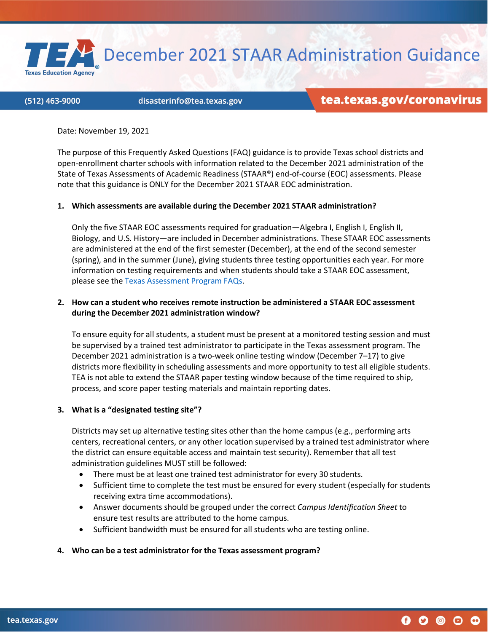December 2021 STAAR Administration Guidance

#### (512) 463-9000

**Texas Education Agency** 

#### disasterinfo@tea.texas.gov

# tea.texas.gov/coronavirus

Date: November 19, 2021

The purpose of this Frequently Asked Questions (FAQ) guidance is to provide Texas school districts and open-enrollment charter schools with information related to the December 2021 administration of the State of Texas Assessments of Academic Readiness (STAAR®) end-of-course (EOC) assessments. Please note that this guidance is ONLY for the December 2021 STAAR EOC administration.

#### **1. Which assessments are available during the December 2021 STAAR administration?**

Only the five STAAR EOC assessments required for graduation—Algebra I, English I, English II, Biology, and U.S. History—are included in December administrations. These STAAR EOC assessments are administered at the end of the first semester (December), at the end of the second semester (spring), and in the summer (June), giving students three testing opportunities each year. For more information on testing requirements and when students should take a STAAR EOC assessment, please see th[e Texas Assessment Program FAQs.](https://tea.texas.gov/sites/default/files/Texas%20Assessment%20Program%20FAQs%2004.04.18.pdf)

#### **2. How can a student who receives remote instruction be administered a STAAR EOC assessment during the December 2021 administration window?**

To ensure equity for all students, a student must be present at a monitored testing session and must be supervised by a trained test administrator to participate in the Texas assessment program. The December 2021 administration is a two-week online testing window (December 7–17) to give districts more flexibility in scheduling assessments and more opportunity to test all eligible students. TEA is not able to extend the STAAR paper testing window because of the time required to ship, process, and score paper testing materials and maintain reporting dates.

#### **3. What is a "designated testing site"?**

Districts may set up alternative testing sites other than the home campus (e.g., performing arts centers, recreational centers, or any other location supervised by a trained test administrator where the district can ensure equitable access and maintain test security). Remember that all test administration guidelines MUST still be followed:

- There must be at least one trained test administrator for every 30 students.
- Sufficient time to complete the test must be ensured for every student (especially for students receiving extra time accommodations).
- Answer documents should be grouped under the correct *Campus Identification Sheet* to ensure test results are attributed to the home campus.
- Sufficient bandwidth must be ensured for all students who are testing online.

#### **4. Who can be a test administrator for the Texas assessment program?**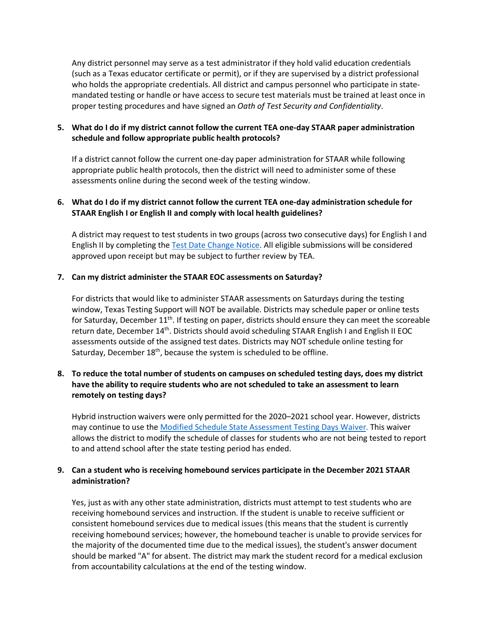Any district personnel may serve as a test administrator if they hold valid education credentials (such as a Texas educator certificate or permit), or if they are supervised by a district professional who holds the appropriate credentials. All district and campus personnel who participate in statemandated testing or handle or have access to secure test materials must be trained at least once in proper testing procedures and have signed an *Oath of Test Security and Confidentiality*.

### **5. What do I do if my district cannot follow the current TEA one-day STAAR paper administration schedule and follow appropriate public health protocols?**

If a district cannot follow the current one-day paper administration for STAAR while following appropriate public health protocols, then the district will need to administer some of these assessments online during the second week of the testing window.

# **6. What do I do if my district cannot follow the current TEA one-day administration schedule for STAAR English I or English II and comply with local health guidelines?**

A district may request to test students in two groups (across two consecutive days) for English I and English II by completing the [Test Date Change](https://tea.co1.qualtrics.com/jfe/form/SV_6sscU2dpQsg96Ky) Notice. All eligible submissions will be considered approved upon receipt but may be subject to further review by TEA.

### **7. Can my district administer the STAAR EOC assessments on Saturday?**

For districts that would like to administer STAAR assessments on Saturdays during the testing window, Texas Testing Support will NOT be available. Districts may schedule paper or online tests for Saturday, December  $11<sup>th</sup>$ . If testing on paper, districts should ensure they can meet the scoreable return date, December 14<sup>th</sup>. Districts should avoid scheduling STAAR English I and English II EOC assessments outside of the assigned test dates. Districts may NOT schedule online testing for Saturday, December  $18<sup>th</sup>$ , because the system is scheduled to be offline.

# **8. To reduce the total number of students on campuses on scheduled testing days, does my district have the ability to require students who are not scheduled to take an assessment to learn remotely on testing days?**

Hybrid instruction waivers were only permitted for the 2020–2021 school year. However, districts may continue to use the [Modified Schedule State Assessment Testing Days Waiver.](https://tea.texas.gov/texas-schools/waivers/state-waivers/state-waiver-types-expedited) This waiver allows the district to modify the schedule of classes for students who are not being tested to report to and attend school after the state testing period has ended.

### **9. Can a student who is receiving homebound services participate in the December 2021 STAAR administration?**

Yes, just as with any other state administration, districts must attempt to test students who are receiving homebound services and instruction. If the student is unable to receive sufficient or consistent homebound services due to medical issues (this means that the student is currently receiving homebound services; however, the homebound teacher is unable to provide services for the majority of the documented time due to the medical issues), the student's answer document should be marked "A" for absent. The district may mark the student record for a medical exclusion from accountability calculations at the end of the testing window.